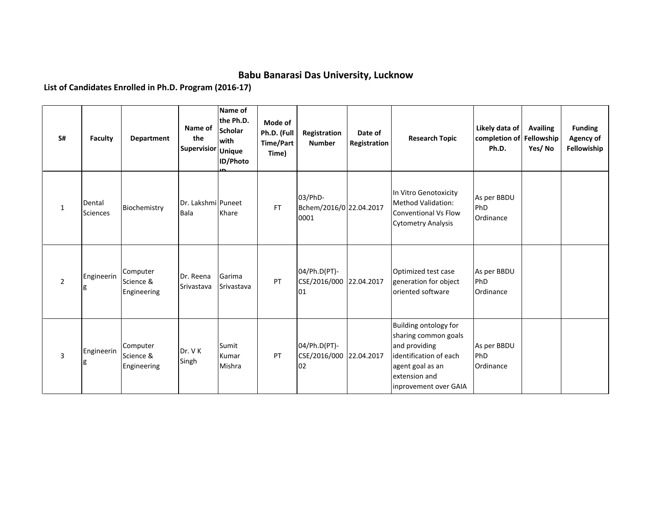## **Babu Banarasi Das University, Lucknow**

**List of Candidates Enrolled in Ph.D. Program (2016-17)**

| S#             | <b>Faculty</b>            | Department                           | Name of<br>the<br>Supervisior | Name of<br>the Ph.D.<br><b>Scholar</b><br>with<br><b>Unique</b><br>ID/Photo | Mode of<br>Ph.D. (Full<br><b>Time/Part</b><br>Time) | Registration<br><b>Number</b>                 | Date of<br>Registration | <b>Research Topic</b>                                                                                                                                  | Likely data of<br>completion of Fellowship<br>Ph.D. | <b>Availing</b><br>Yes/No | <b>Funding</b><br>Agency of<br>Fellowiship |
|----------------|---------------------------|--------------------------------------|-------------------------------|-----------------------------------------------------------------------------|-----------------------------------------------------|-----------------------------------------------|-------------------------|--------------------------------------------------------------------------------------------------------------------------------------------------------|-----------------------------------------------------|---------------------------|--------------------------------------------|
| $\mathbf{1}$   | Dental<br><b>Sciences</b> | Biochemistry                         | Dr. Lakshmi Puneet<br>Bala    | Khare                                                                       | <b>FT</b>                                           | 03/PhD-<br>Bchem/2016/0 22.04.2017<br>0001    |                         | In Vitro Genotoxicity<br>Method Validation:<br><b>Conventional Vs Flow</b><br><b>Cytometry Analysis</b>                                                | As per BBDU<br>PhD<br>Ordinance                     |                           |                                            |
| $\overline{2}$ | Engineerin                | Computer<br>Science &<br>Engineering | Dr. Reena<br>Srivastava       | Garima<br>Srivastava                                                        | PT                                                  | 04/Ph.D(PT)-<br>CSE/2016/000 22.04.2017<br>01 |                         | Optimized test case<br>generation for object<br>oriented software                                                                                      | As per BBDU<br>PhD<br>Ordinance                     |                           |                                            |
| 3              | Engineerin                | Computer<br>Science &<br>Engineering | Dr. VK<br>Singh               | Sumit<br>Kumar<br>Mishra                                                    | PT                                                  | 04/Ph.D(PT)-<br>CSE/2016/000 22.04.2017<br>02 |                         | Building ontology for<br>sharing common goals<br>and providing<br>identification of each<br>agent goal as an<br>extension and<br>inprovement over GAIA | As per BBDU<br>PhD<br>Ordinance                     |                           |                                            |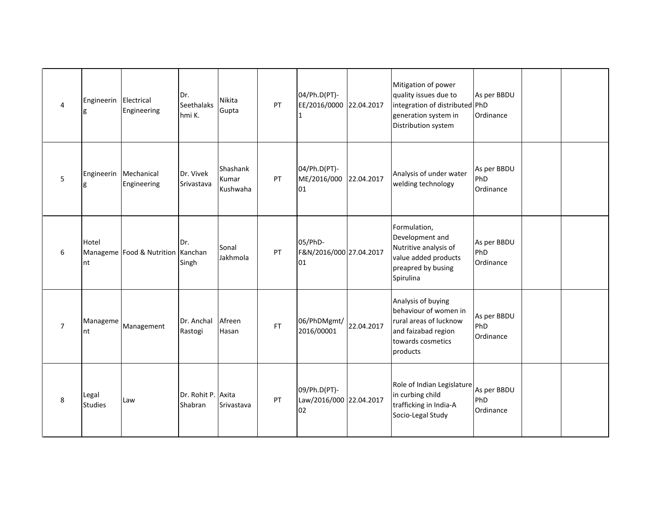| $\overline{4}$ | Engineerin Electrical<br>g | Engineering                           | Dr.<br><b>Seethalaks</b><br>hmi K. | Nikita<br>Gupta               | PT  | 04/Ph.D(PT)-<br>EE/2016/0000 22.04.2017<br>1  |            | Mitigation of power<br>quality issues due to<br>integration of distributed PhD<br>generation system in<br>Distribution system | As per BBDU<br>Ordinance        |  |
|----------------|----------------------------|---------------------------------------|------------------------------------|-------------------------------|-----|-----------------------------------------------|------------|-------------------------------------------------------------------------------------------------------------------------------|---------------------------------|--|
| 5              | Engineerin<br>g            | Mechanical<br>Engineering             | Dr. Vivek<br>Srivastava            | Shashank<br>Kumar<br>Kushwaha | PT  | 04/Ph.D(PT)-<br>ME/2016/000<br>01             | 22.04.2017 | Analysis of under water<br>welding technology                                                                                 | As per BBDU<br>PhD<br>Ordinance |  |
| 6              | Hotel<br>nt                | Manageme   Food & Nutrition   Kanchan | Dr.<br>Singh                       | Sonal<br>Jakhmola             | PT  | 05/PhD-<br>F&N/2016/000 27.04.2017<br>01      |            | Formulation,<br>Development and<br>Nutritive analysis of<br>value added products<br>preapred by busing<br>Spirulina           | As per BBDU<br>PhD<br>Ordinance |  |
| $\overline{7}$ | Manageme<br>nt             | Management                            | Dr. Anchal<br>Rastogi              | Afreen<br>Hasan               | FT. | 06/PhDMgmt/<br>2016/00001                     | 22.04.2017 | Analysis of buying<br>behaviour of women in<br>rural areas of lucknow<br>and faizabad region<br>towards cosmetics<br>products | As per BBDU<br>PhD<br>Ordinance |  |
| 8              | Legal<br><b>Studies</b>    | Law                                   | Dr. Rohit P. Axita<br>Shabran      | Srivastava                    | PT  | 09/Ph.D(PT)-<br>Law/2016/000 22.04.2017<br>02 |            | Role of Indian Legislature<br>in curbing child<br>trafficking in India-A<br>Socio-Legal Study                                 | As per BBDU<br>PhD<br>Ordinance |  |